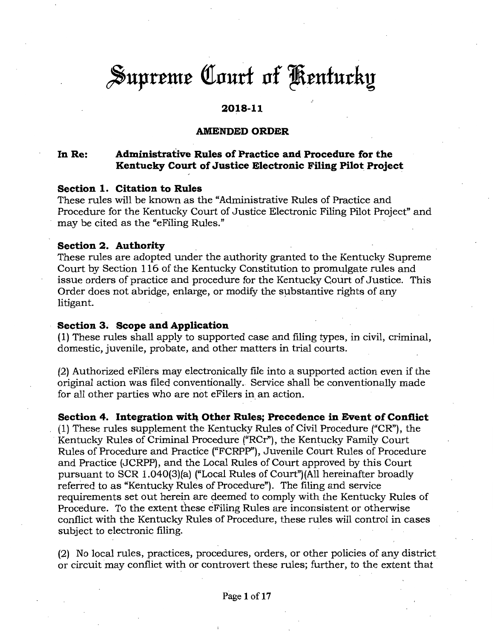# Supreme Court of Kentucky

# **2018-11**

# **AMENDED ORDER**

#### **In Re: Administrative Rules of Practice and Procedure for the Kentucky Court of Justice Electronic Filing Pilot Project**

#### **Section 1. Citation to Rules**

These rules will be known as the "Administrative Rules of Practice and Procedure for the Kentucky Court of Justice Electronic Filing Pilot Project" and may be cited as the "eFiling Rules."

#### **Section 2. Authority**

These rules are adopted under the authority granted to the Kentucky Supreme Court by Section 116 of the Kentucky Constitution to promulgate rules and issue orders of practice and procedure for the Kentucky Court of Justice. This Order does not abridge, enlarge, or modify the substantive rights of any litigant.

#### **Section 3. Scope and Application**

( 1) These rules shall apply to supported case and filing types, in civil, criminal, domestic, juvenile, probate, and other matters in trial courts.

(2) Authorized eFilers may electronically file into a supported action even if the original action was filed conventionally. Service shall be conventionally made for all other parties who are not effilers in an action.

### **Section 4. Integration with Other Rules; Precedence in Event of Conflict**

(1) These rules supplement the Kentucky Rules of Civil Procedure ("CR"), the Kentucky Rules of Criminal Procedure ("RCr"), the Kentucky Family Court Rules of Procedure and Practice ("FCRPP"), Juvenile Court Rules of Procedure and Practice (JCRPP), and the Local Rules of Court approved by this Court pursuant to SCR l .040(3)(a) ("Local Rules of Court")(All hereinafter broadly referred to as "Kentucky Rules of Procedure"). The filing and service requirements set out herein are deemed to comply with the Kentucky Rules of Procedure. To the extent these eFiling Rules are inconsistent or otherwise conflict with the Kentucky Rules of Procedure, these rules will control in cases subject to electronic filing.

(2) No local rules, practices, procedures, orders, or other policies of any district or circuit may conflict with or controvert these rules; further, to the extent that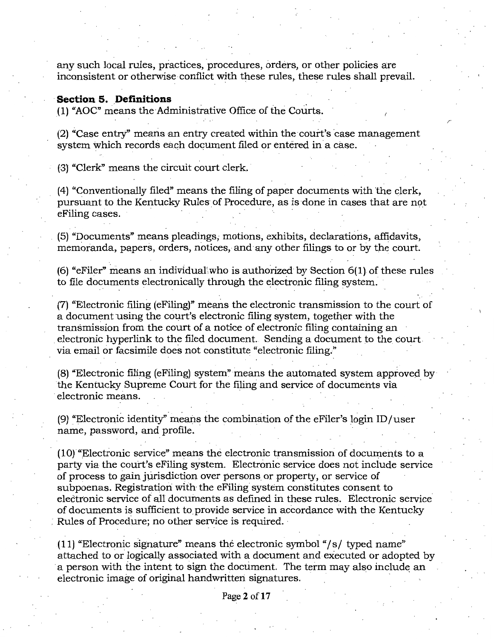any such local rules, practices, procedures, orders, or other policies are inconsistent or otherwise conflict with these rules, these rules shall prevail.

#### **Section 5. Definitions**

(1) "AOC" means the Administrative Office of the Courts.

(2) "Case entry" means an entry created within the court's case management system which records each document filed or entered in a case.

(3)' "Clerk" means the circuit court clerk.

(4) "Conventionally filed" means the filing of paper documents with the clerk, pursuant to the Kentucky Rules of Procedure, as is done in cases that are not eFiling cases.

(5) "Documents" means pleadings, motions, exhibits, declarations, affidavits, memoranda, papers, orders, notices, and any other filings to or by the court.

 $(6)$  "eFiler" means an individual who is authorized by Section  $6(1)$  of these rules to file documents electronically through the electronic filing system.

(7) "Electronic filing (eFiling)" means the electronic transmission to the court of a document using the court's electronic filing system, together with the transmission from the court of a notice of electronic filing containing an . electronic hyperlink to the filed document. Sending a document to the court. via email or facsimile does not constitute "electronic filing."

(8) "Electronic filing (eFiling) system" means the automated system approved by the Kentucky Supreme Court for the filing and service of documents via . electronic means.

(9) "Electronic identity" means the combination of the eFiler's login ID/user name, password, and profile.

 $(10)$  "Electronic service" means the electronic transmission of documents to a party via the court's eFiling system. Electronic service does not include service of process to gain jurisdiction over persons or property, or service of subpoenas. Registration with the eFiling system constitutes consent to electronic service of all documents as defined in these rules. Electronic service. of documents is sufficient to.provide service in accordance with the Kentucky Rules of Procedure; no other service is required.

(11) "Electronic signature" means the electronic symbol "/s/ typed name" attached to or logically associated with a document and executed or adopted by a person with the intent to sign the document. The term may also include an electronic image of original handwritten signatures.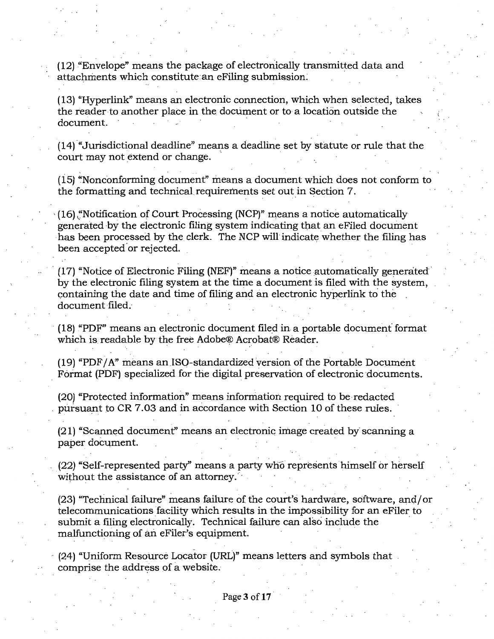(12) ."Envelope" means the package of electronically transmitted data and attachments which constitute an eFiling submission.

(13) "Hyperlink" means an electronic connection, which when selected, takes the reader to another place in the document or to a location outside the document.

 $(14)$  "Jurisdictional deadline" means a deadline set by statute or rule that the court may not extend or change.

 $(15)$  "Nonconforming document" means a document which does not conform to the formatting and technical requirements set out in Section 7.

'(16) ~'Notification of Court Processing (NCP)" means a notice automatically generated by the electronic filing system indicating that an eFiled document has been processed by the clerk. The NCP will indicate whether the filing has been accepted or rejected.

(17) "Notice of Electronic Filing (NEF)" means a notice automatically generated by the electronic filing system at the time a document is filed with the system, containing the date and time of filing and an electronic hyperlink to the document filed.·

 $(18)$  "PDF" means an electronic document filed in a portable document format which is readable by the free Adobe® Acrobat® Reader.

 $(19)$  "PDF/A" means an ISO-standardized version of the Portable Document Format (PDF) specialized for the digital preservation of electronic documents.

(20) "Protected information" means information required to be redacted pursuant to CR 7.03 and in accordance with Section 10 of these rules.

(21) "Scanned document" means an electronic image created by' scanning a paper document.

(22) "Self-represented party" means a party who represents himself or herself without the assistance of an attorney.

(23) "Technical failure" means failure of the court's hardware, software, and/ or telecommunications facility which results in the impossibility for an eFiler to submit a filing electronically. Technical failure can also include the malfunctioning of an eFiler's equipment.

(24) "Uniform Resource Locator (URL)" means letters and symbols that comprise the address of a website.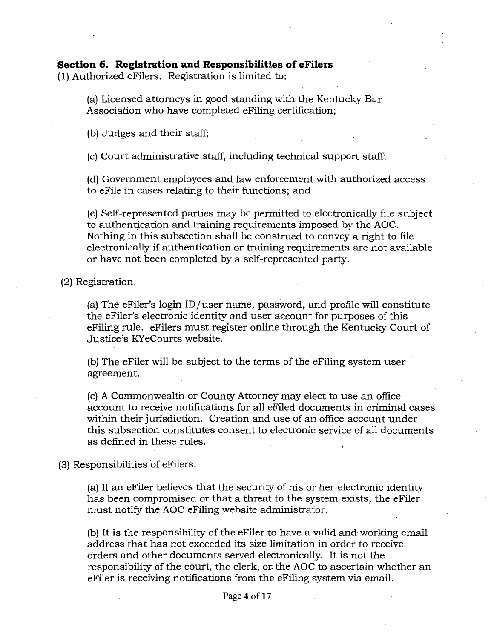# **Section 6. Registration and Responsibilities of eFilers**  ( 1) Authorized eFilers. Registration is limited to:

(a) Licensed attorneys in good standing with the Kentucky Bar Association who have completed eFiling certification;

(b) Judges and their staff;

(c) Court administrative staff, including technical support staff;

(d) Government employees and law enforcement with authorized access to eFile in cases relating to their functions; and

(e) Self-represented parties may be permitted to electronically file subject to authentication and training requirements imposed by the AOC. Nothing in this subsection shall be construed to convey a right to file electronically if authentication or training requirements are not available or have not been completed by a self-represented party.

(2) Registration.

(a) The eFiler's login ID /user name, password, and profile will constitute the eFiler's electronic identity and user account for purposes of this eFiling rule. eFilers must register online through the Kentucky Court of Justice's KYeCourts website. ·

(b) The eFiler will be subject to the terms of the eFiling system user agreement.

(c) A Commonwealth or County Attorney may elect to use an office account to receive notifications for all eFiled documents in criminal cases within their jurisdiction. Creation and use of an office account under this subsection constitutes consent to electronic service of all documents as defined in these rules.

(3) Responsibilities of eFilers.

(a) If an eFiler believes that the security of his or her electronic identity has been compromised or that a threat to the system exists, the eFiler must notify the AOC eFiling website administrator.

(b) It is the responsibility of the eFiler to have a valid and working email address that has not exceeded its size limitation in order to receive orders and other documents served electronically. It is not the responsibility of the court, the clerk, or the AOC to ascertain whether an eFiler is receiving notifications from the eFiling system via email.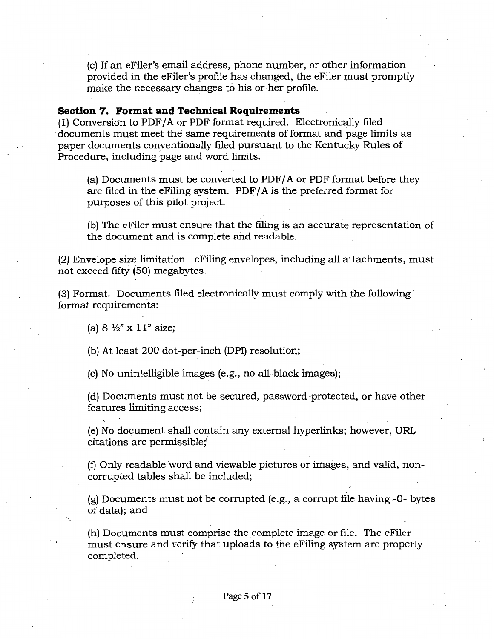(c) If an eFiler's email address, phone number, or other information provided in the eFiler's profile has changed, the eFiler must promptly make the necessary changes to his or her profile.

#### **Section 7. Format and Technical Requirements**

( 1) Conversion to PDF/ A or PDF format required. Electronically filed documents must meet the same requirements of format and page limits as paper documents conventionally filed pursuant to the Kentucky Rules of Procedure, including page and word limits.

(a) Documents must be converted to PDF/ A or PDF format before they are filed in the eFiling system.  $PDF/A$  is the preferred format for purposes of this pilot project.

(b) The eFiler must ensure that the filing is an accurate representation of the document and is complete and readable.

(2) Envelope ·size limitation. eFiling envelopes, including all attachments, must not exceed fifty (50) megabytes.

(3) Format. Documents filed electronically must comply with ,the following· format requirements:

(a)  $8 \frac{1}{2}$ " x  $11$ " size;

(b) At least 200 dot-per-inch (DPI) resolution;

 $(c)$  No unintelligible images  $(e.g., no all-black images);$ 

(d) Documents must not be secured, password-protected, or have other features limiting access;

(e) No document shall contain any external hyperlinks; however, URL  $c$ itations are permissible; $\ddot{\ }$ 

(f) Only readable word and viewable pictures or images, and valid, noncorrupted tables shall be included;

(g) Documents must not be corrupted (e.g., a corrupt file having-0- bytes of data); and

(h) Documents must comprise the complete image or file. The eFiler must ensure and verify that uploads to the eFiling system are properly completed.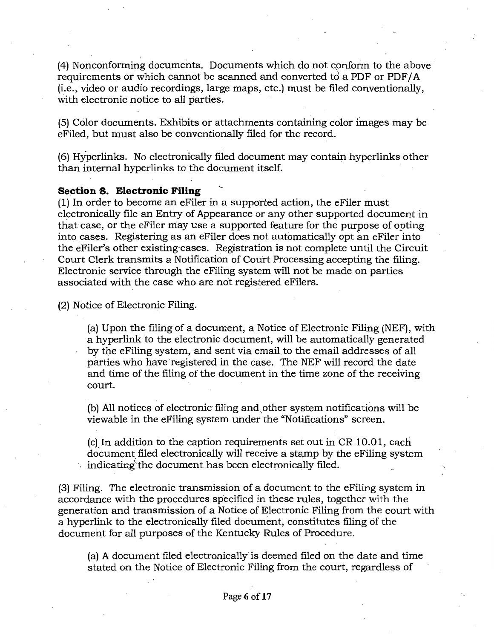(4) Nonconforming documents. Documents which do not conform to the above· requirements or which cannot be scanned and converted to a PDF or PDF/ $\overline{A}$ (i.e., video or audio recordings, large maps, etc.) must be filed conventionally, with electronic notice to all parties.

(5) Color documents. Exhibits or attachments containing color images may be eFiled, but must also be conventionally filed for the record.

(6) Hyperlinks. No electronically filed document may contain hyperlinks other than internal hyperlinks to the document itself.

#### **Section 8. Electronic Filing**

(1) In order to become an eFiler in a supported action, the eFiler must electronically file an Entry of Appearance or any other supported document in that case, or the eFiler niay use a supported feature for the purpose of opting into cases. Registering as an eFiler does not automatically opt an eFiler into the eFiler's other existing-cases. Registration is not complete until the Circuit Court Clerk transmits a Notification of Court Processing accepting the filing. Electronic service through the eFiling system will not be made on parties associated with the case who are not registered eFilers.

(2) Notice of Electronic Filing.

(a) Upon the filing of a document, a Notice of Electronic Filing (NEF}, with a hyperlink to the electronic document, will be automatically generated by the eFiling system, and sent via email to the email addresses of all parties who have registered in the case. The NEF will record the date and time of the filing of the document in the time zone of the receiving court.

(b) All notices of electronic filing and other system notifications will be viewable in the eFiling system under the "Notifications" screen.

(c) In addition to the caption requirements set out in CR 10.01, each document filed electronically will receive a stamp by the eFiling system indicating the document has been electronically filed.

(3) Filing. The electronic transmission of a document to the eFiling system in accordance with the procedures specified in these rules, together with the generation and transmission of a Notice of Electronic Filing from the court with a hyperlink to the electronically filed document, constitutes filing of the document for all purposes of the Kentucky Rules of Procedure.

(a) A document filed electronically is deemed filed on the date and time stated on the Notice of Electronic Filing from the court, regardless of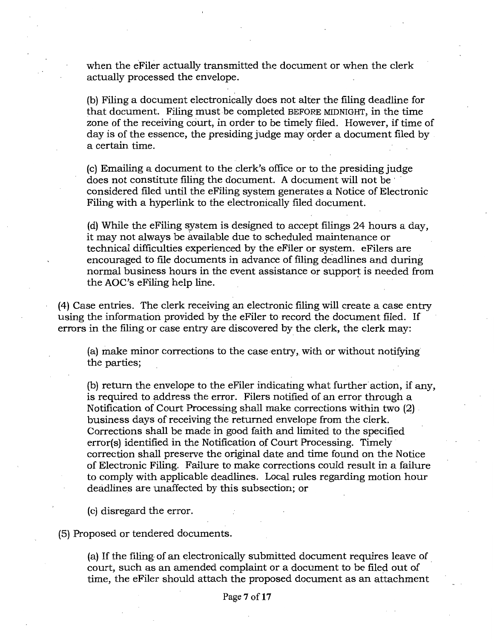when the eFiler actually transmitted the document or when the clerk actually processed the envelope.

(b) Filing a document electronically does not alter the filing deadline for that document. Filing must be completed BEFORE MIDNIGHT, in the time zone of the receiving court, in order to be timely filed. However, if time of day is of the essence, the presiding judge may order a document filed by a certain time.

(c) Emailing a document to the clerk's office or to the presiding judge does not constitute filing the document. A document will not be considered filed until the eFiling system generates a Notice of Electronic Filing with a hyperlink to the electronically filed document.

(d) While the eFiling system is designed to accept filings 24 hours a day, it may not always be available due to scheduled maintenance or **i** technical difficulties experienced by the eFiler or system. eFilers are encouraged to file documents in advance of filing deadlines and during normal business hours in the event assistance or support is needed from the AOC's eFiling help line.

(4) Case entries. The clerk receiving an electronic filing will create a case entry using the information provided by the eFiler to record the document filed. If errors in the filing or case entry are discovered by the clerk, the clerk may:

(a) make minor corrections to the case entry, with or without notifying the parties;

(b) return the envelope to the effiler indicating what further action, if any, is required to address the error. Filers notified of an error through a Notification of Court Processing shall make corrections within two (2) . business days of receiving the returned envelope from the clerk. Corrections shall be made in good faith and limited to the specified error(s) identified in the Notification of Court Processing. Timely correction shall preserve the original date and time found on the Notice of Electronic Filing. Failure to make corrections could result in a failure to comply with applicable deadlines. Local rules regarding motion hour deadlines are unaffected by this subsection; or

(c) disregard the error.

(5) Proposed or tendered documents.

(a) If the filing of an electronically submitted document requires leave of court, such as an amended complaint or a document to be filed out of time, the eFiler should attach the proposed document as an attachment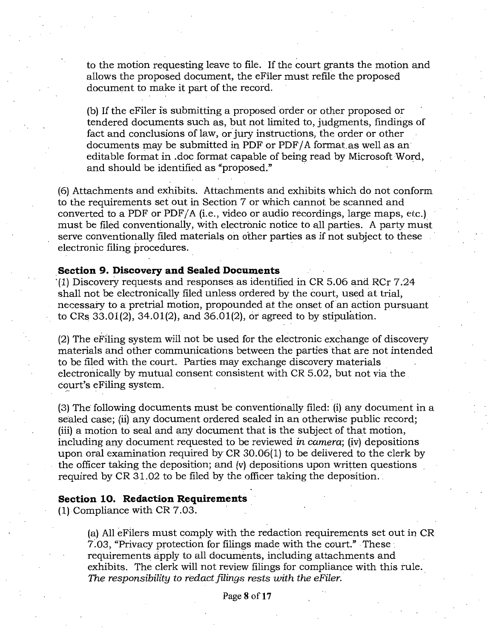to the motion requesting leave to file. If the court grants the motion and allows the proposed document, the eFiler must refile the proposed document to make it part of the record.

(b) If the eFiler is submitting a proposed order or other proposed or tendered documents such as, but not limited to, judgments, findings of fact and conclusions of law, or jury instructions, the order or other documents may be submitted in PDF or PDF/A format as well as an editable format in .doc format capable of being read by Microsoft Word, and should be identified as "proposed."

(6) Attachments and exhibits. Attachments and exhibits which do not conform to the requirements set out in Section 7 or which cannot be scanned and converted to a PDF or PDF/ $A$  (i.e., video or audio recordings, large maps, etc.) must be filed conventionally, with electronic notice to all parties. A party must serve conventionally filed materials on other parties as if not subject to these electronic filing procedures.

#### Section 9. Discovery and Sealed Documents

(1) Discovery requests and responses as identified in CR 5.06 and RCr 7.24 shall not be electronically filed unless ordered by the court, used at trial, necessary to a pretrial motion, propounded at the onset of an action pursuant to CRs 33.01(2), 34.01(2), and 36.01(2), or agreed to by stipufation.

(2) The eFihng system will not be used for the electronic exchange of discovery materials and other communications between the parties that are not intended to be filed with the court. Parties may exchange discovery materials electronically by mutual consent consistent with CR 5.02, but not via the court's eFiling system.

(3) The following documents must be conventionally filed: (i) any document in a sealed case; (ii) any document ordered sealed in an otherwise public record; (iii) a motion to seal and any document that is the subject of that motion, including any document requested to be reviewed *in camera;* (iv) depositions upon oral examination required by CR 30.06(1) to be delivered to the clerk by the officer taking the deposition; and (v) depositions upon written questions required by CR 31.02 to be filed by the officer taking the deposition.

#### **Section 10. Redaction Requirements**

(1) Compliance with CR 7.03.

(a) All eFllers must comply with the redaction requirements set out in CR 7.03, "Privacy protection for filings made with the court." These requirements apply to all documents, including attachments and exhibits. The clerk will not review filings for compliance with this rule. *The responsibility to redact filings rests with the eFiler.*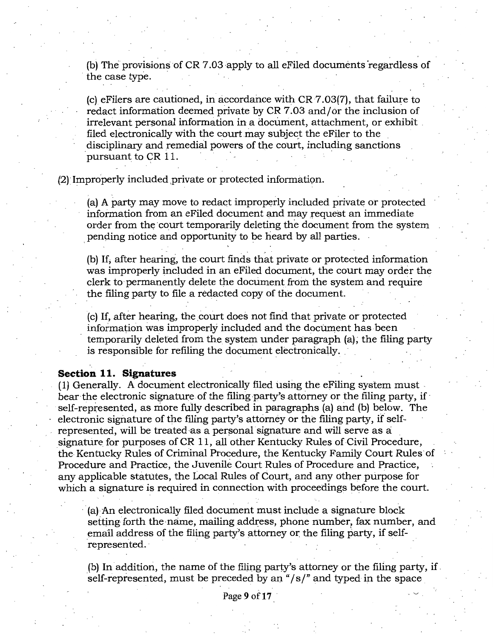(b) The provisions of CR 7 .03 apply to all eFiled documents "regardless of the case type.

 $(c)$  eFilers are cautioned, in accordance with CR 7.03(7), that failure to redact information deemed private by CR 7 .03 and/ or the inclusion of irrelevant personal information in a document, attachment, or exhibit filed electronically with the court may subject the eFiler to the disciplinary and remedial powers of the court, including sanctions pursuant to CR 11.

(2) Improperly included private or protected information.

(a) A party may move to redact improperly included private or protected information from an eFiled document and may request an immediate order from the court temporarily deleting the document from the system pending notice and opportunity to be heard by all parties.

(b) If, after hearing, the court finds that private or protected information was improperly included in an eFiled document, the court may order the clerk to permanently delete the document from the system and require the filing party to file a redacted copy of the document.

(c) If, after hearing, the court does not find that private or protected information was improperly included and the document has been temporarily deleted from the system under paragraph (a), the filing party is responsible for refiling the document electronically.

### **Section 11. Signatures**

(1) Generally. A document electronically filed using the eFiling system must. bear the electronic signature of the filing party's attorney or the filing party, if self-represented, as more fully described in paragraphs (a) and (b) below. The electronic signature of the filing party's attorney or the filing party, if selfrepresented, will be treated as a personal signature and will serve as a signature for purposes of CR 11, all other Kentucky Rules of Civil Procedure, the Kentucky Rules of Criminal Procedure, the Kentucky Family Court Rules of Procedure and Practice, the Juvenile Court Rules of Procedure and Practice, any applicable statutes, the Local Rules of Court, and any other purpose for which a signature is required in connection with proceedings before the court.

(a) An electronically filed document must include a signature block setting forth the name, mailing address, phone number, fax number, and email address of the filing party's attorney or the filing party, if selfrepresented.

(b) In.addition, the name of the filjng party's attorney or the filing party, if. self-represented, must be preceded by an *"/sf"* and typed in the space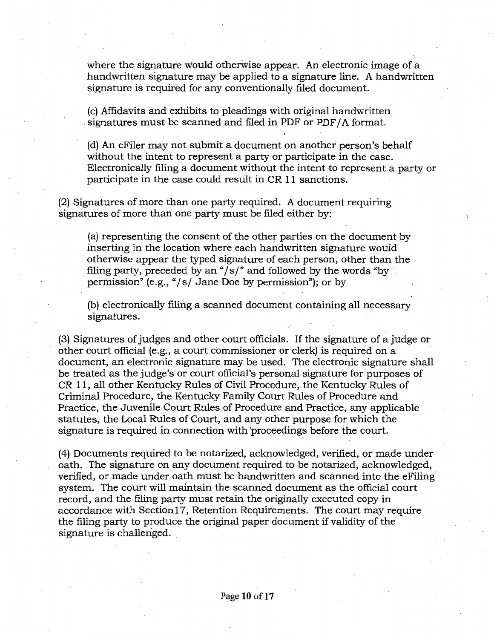where the signature would otherwise appear. An electronic image of a handwritten signature may be applied to a signature line. A handwritten signature is required for any conventionally filed document.

(c) Affidavits and exhibits to pleadings with original handwritten signatures must be scanned and filed in PDF or PDF/A format.

(d) An eFiler may not submit a document on another person's behalf without the intent to represent a party or participate in the case. Electronically filing a document without the intent to represent a party or participate in the case could result in CR 11 sanctions.

(2) Signatures of more than one party required. A document requiring signatures of more than one party must be filed either by:

(a) representing the consent of the other parties on the document by inserting in the location where each handwritten signature would otherwise appear the typed signature of each person, other than the filing party, preceded by an " $/s$ " and followed by the words "by permission"  $(e.g., ' / s/$  Jane Doe by permission"); or by

(b) electronically filing a scanned document containing all necessary . signatures.

(3) Signatures of judges and other court officials. If the signature of a judge or other court official (e.g., a court commissioner or clerk) is required on a document, an electronic signature may be used. The electronic signature shall be treated as the judge's or court official's personal signature for purposes of CR 11, all other Kentucky Rules of Civil Procedure, the Kentucky Rules of Criminal Procedure, the Kentucky Family Court Rules of Procedure and Practice, the Juvenile Court Rules of Procedure and Practice, any applicable statutes, the Local Rules of Court, and any other purpose for which the signature is required in connection with 'proceedings before the court.

(4) Documents required to be notarized, acknowledged, verified, or made under oath. The signature on any document required to be notarized, acknowledged, verified, or made under oath must be handwritten and scanned into the eFiling system. The court will maintain the scanned document as the official court record, and the filing party must retain the originally executed copy in accordance with Section 17, Retention Requirements. The court may require the filing party to produce the original paper document if validity of the signature is challenged.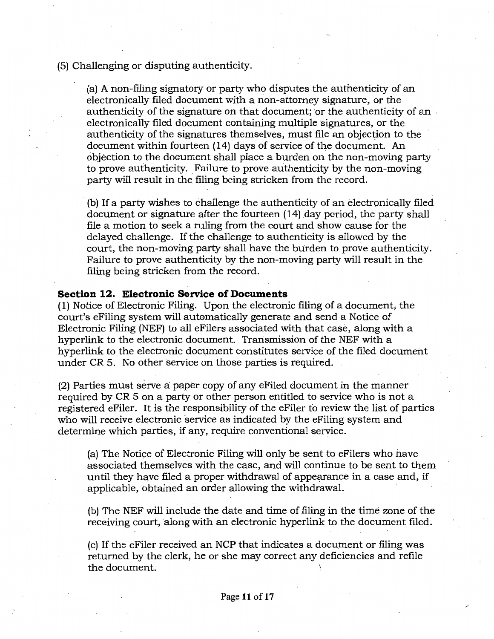(5) Challenging or disputing authenticity.

(a) A non-filing signatory or party who disputes the authenticity of an electronically filed document with a non-attorney signature, or the authenticity of the signature on that document; or the authenticity of an electronically filed document containing multiple signatures, or the authenticity of the signatures themselves, must file an objection to the document within fourteen (14) days of service of the document. An objection to the document shall place a burden on the non-moving party to prove authenticity. Failure to prove authenticity by the non-moving party will result in the filing being stricken from the record.

(b) If a party wishes to challenge the authenticity of an electronically filed document or signature after the fourteen (14) day period, the party shall file a motion to seek a ruling from the court and show cause for the delayed challenge. If the challenge to authenticity is allowed by the court, the non-moving party shall have the burden to prove authenticity. Failure to prove authenticity by the non~moving party will result in the filing being stricken from the record.

### **Section 12. Electronic Service of Documents**

(1) Notice of Electronic Filing. Upon the electronic filing of a document, the court's eFiling system will automatically generate and send a Notice of Electronic Filing (NEF) to all eFilers associated with that case, along with a hyperlink to the electronic document. Transmission of the NEF with a hyperlink to the electronic document constitutes service of the filed document under CR 5. No other service on those parties is required.

(2) Parties must serve a: paper copy of any eFiled document in the manner required by CR 5 on a party or other person entitled to service who is not a registered eFiler. It is the responsibility of the eFiler to review the list of parties who will receive electronic service as indicated by the eFiling system and determine which parties, if any, require conventional service.

(a) The Notice of Electronic Filing will only be sent to eFilers who have associated themselves with the case, and will continue to be sent to them until they have filed a proper withdrawal of appearance in a case and, if applicable, obtained an order allowing the withdrawal.

(b) The NEF will include the date and time of filing in the time zone of the receiving court, along with an electronic hyperlink to the document filed.

(c) If the eFiler received an NCP that indicates a document or filing was returned by the clerk, he or she may correct any deficiencies and refile the document.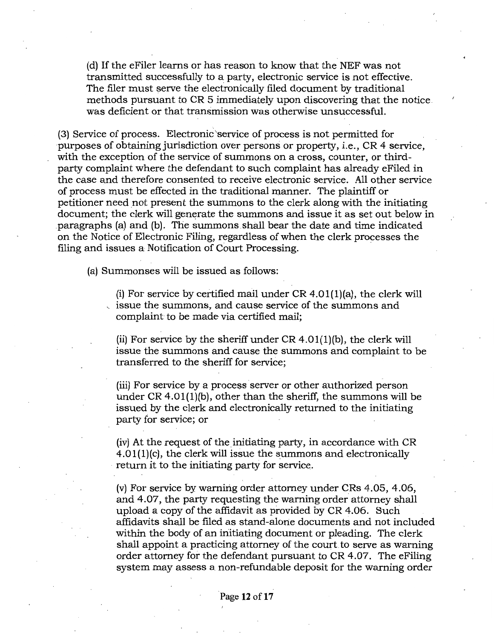(d) If the eFiler learns or has reason to know that the NEF was not transmitted successfully to a party, electronic service is not effective. The filer must serve the electronically filed document by traditional methods pursuant to CR 5 immediately upon discovering that the notice. was deficient or that transmission was otherwise unsuccessful.

(3) Service of process. Electronic 'service of process is not permitted for ·purposes of obtaining jurisdiction over persons or property, i.e., CR 4 service, with the exception of the service of summons on a cross, counter, or thirdparty complaint where the defendant to such complaint has already eFiled in the case and therefore consented to receive electronic service. All other service of process must be effected in the traditional manner. The plaintiff or petitioner need not present the summons to the clerk along with the initiating document; the clerk will generate the summons and issue it as set out below in .paragraphs (a) and (b). The summons shall bear the date and time indicated on the Notice of Electronic Filing, regardless of when the clerk processes the filing and issues a Notification of Court Processing.

(a) Summonses will be issued as follows:

(i) For service by certified mail under  $CR$  4.01(1)(a), the clerk will , issue the summons, and cause service of the summons and complaint to be made via certified mail;

(ii) For service by the sheriff under  $CR\ 4.01(1)$ (b), the clerk will issue the summons and cause the summons and complaint to be transferred to the sheriff for service;

(iii) For service by a process server or other authorized person under CR 4.0l(l)(b), other than the sheriff, the summons will be issued by the clerk and electronically returned to the initiating party for service; or

(iv) At the request of the initiating party, in accordance with CR 4.0l(l)(c), the clerk will issue the summons and electronically return it to the initiating party for service.

(v) For service by warning order attorney under CRs 4.05, 4.06, and 4.07, the party requesting the warning order attorney shall upload a copy of the affidavit as provided by CR 4.06. Such affidavits shall be filed as stand-alone documents and not included within the body of an initiating document or pleading. The clerk shall appoint a practicing attorney of the court to serve as warning order attorney for the defendant pursuant to CR 4.07. The eFiling system may assess a non-refundable deposit for the warning order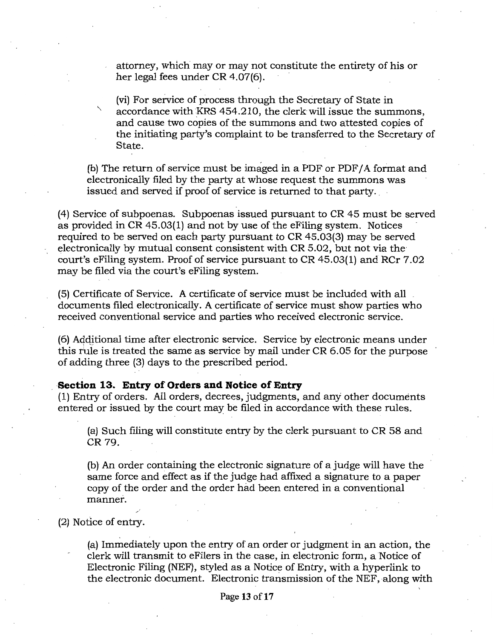attorney, which may or may not constitute the entirety of his or her legal fees under CR 4.07(6).

(vi) For service of process through the Secretary of State in accordance with KRS 454.210, the clerk will issue the summons, and cause two copies of the summons and two attested copies of the initiating party's complaint to be transferred to the Secretary of State.

(b) The return of service must be imaged in a PDF or PDF/ A format and electronically filed by the party at whose request the summons was issued and served if proof of service is returned to that party.

(4) Service of subpoenas. Subpoenas issued pursuant to CR 45 must be served as provided in CR 45.03(1) and not by use of the eFiling system. Notices required to be served on each party pursuant to CR 45.03(3) may be served electronically by mutual consent consistent with CR 5.02, but not via the court's eFiling system. Proof of service pursuant to CR 45.03(1) and RCr 7.02 may be filed via the court's eFiling system.

(5) Certificate of Service. A certificate of service must be included with all documents filed electronically. A certificate of service must show parties who received conventional service and parties who received electronic service.

(6) Additional time after electronic service. Service by electronic means under this rule is treated the same as service by mail under CR 6.05 for the purpose of adding three (3) days to the prescribed period.

# , **Section 13. Entry of Orders and Notice of Entry**

(1) Entry of orders. All orders, decrees, judgments, and any other documents entered or issued by the court may be filed in accordance with these rules.

(a) Such filing will constitute entry by the clerk pursuant to CR 58 and CR 79.

(b) An order containing the electronic signature of a judge will have the same force and effect as if the judge had affixed a signature to a paper copy of the order and the order had been entered in a conventional manner.

(2) Notice of entry.

(a) Immediately upon the entry of an order or judgment in an action, the clerk will transmit to eFilers in the case, in electronic form, a Notice of Electronic Filing (NEF), styled as a Notice of Entry, with a hyperlink to the electronic document. Electronic transmission of the NEF, along with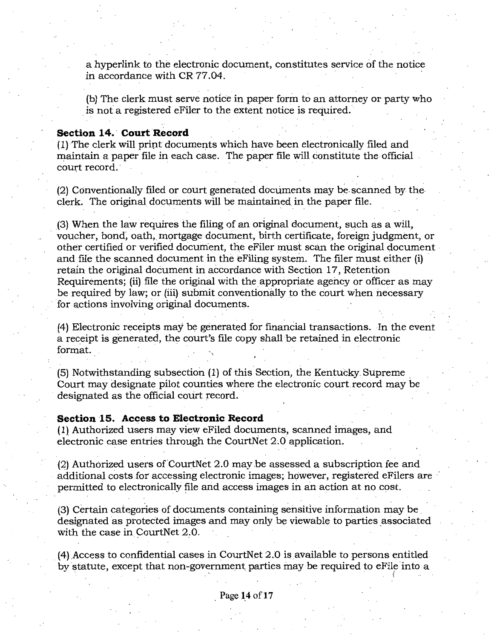a hyperlink to the electronic document, constitutes service of the notice in accordance with CR 77.04.

(b) The clerk must serve notice in paper form to an attorney or party who is not a registered eFiler to the extent notice is required.

#### **Section 14. Court Record**

(1) The clerk will print documents which have been electronically filed and maintain a paper file in each case. The paper file will constitute the official court record.

 $(2)$  Conventionally filed or court generated documents may be scanned by the clerk. The original documents will be maintained in the paper file.

(3) When the law requires the filing of an original document, such as a will, voucher, bond~ oath, mortgage document, birth certificate, foreign judgment, or other certified or verified document, the eFiler must scan the original document· and file the scanned document in the eFiling system. The filer must either (i) retain the original document in accordance with Section 17, Retention Requirements; (ii) file the original with the appropriate agency or officer as may be required by law; or (iii) submit conventionally to the court when necessary for actions involving original documents.

(4) Electronic receipts may be generated for financial transactions. In the event a receipt is generated, the court's file copy shall be retained in electronic format.

(5) Notwithstanding subsection (1) of this Section, the Kentucky. Supreme . Court may designate pilot counties where the electronic court.record may be designated as the official court record.

#### **Section 15. Access to Electronic Record**

(1), Authorized users may view eFiled documents, scanned images, and electronic case entries through the CourtNet 2.0 application.

 $(2)$  Authorized users of CourtNet 2.0 may be assessed a subscription fee and additional costs for accessing electronic images; however, registered eFilers are permitted to electronically file and access images in an action at no cost.

(3) Certain categories of documents containing sensitive information may be. designated as protected images and may only be viewable to parties associated with the case in CourtNet 2.0.

(4) .Access to confidential cases in CourtNet 2.0 is available to persons entitled by statute, except that non-government parties may be required to eFile into a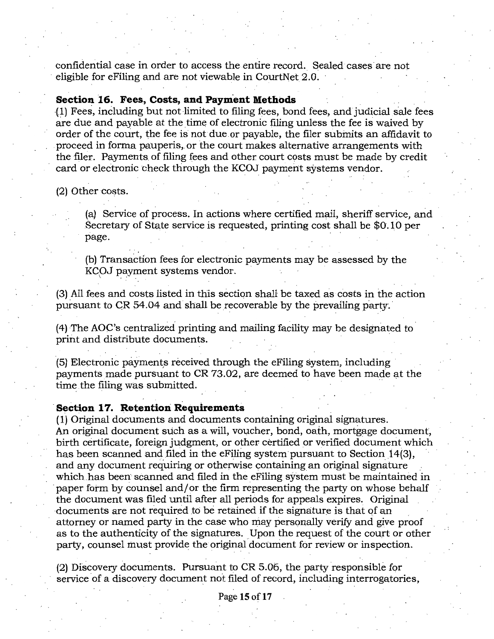confidential case in order to access the entire record. Sealed cases are not eligible for eFiling and are not viewable in CourtNet 2.0.

#### **Section 16. Fees, Costs, and Payment Methods**

(1) Fees, including but not limited to filing fees, bond fees, and judicial sale fees are due and payable at the time of electronic filing unless the fee is waived by order of the court, the fee is not due or payable, the filer submits an affidavit to proceed in forma pauperis,. or the court makes alternative arrangements with the filer. Payments of filing fees and other court costs must be made by credit card or electronic check through the KCOJ payment systems vendor.

(2) Other costs.

(a) Service of process. In actions where certified mail, sheriff service, arid Secretary of State service is requested, printing cost shall be  $$0.10$  per page.

(b) Transaction fees for electronic payments may be assessed by the KCOJ payment systems vendor.

(3) All fees and costs listed in this section shall be taxed as costs in the action pursuant to  $CR$  54.04 and shall be recoverable by the prevailing party.

(4) The AOC's centralized printing and mailing facility may be designated to print and distribute documents.

(5) Electronic payments received through the eFiling system, including payments made pursuant to CR 73.02, are deemed to have been made at the time the filing was submitted.

#### **·Section 17. Retention Requirements**

 $(1)$  Original documents and documents containing original signatures. An original document such as a will, voucher, bond, oath, mortgage document, birth certificate, foreign judgment, or other certified or verified document which has been scanned and filed in the eFiling system pursuant to Section  $14(3)$ , and any document requiring or otherwise containing an original signature which has been scanned and filed in the eFiling system must be maintained in paper form by counsel and/ or the firm representing the party on whose behalf the document was filed until after all periods for appeals expires. Original documents are not required to be retained if the signature is that of an attorney or named party in the case who may personally verify and give proof as to the authenticity of the signatures. Upon the request of the court or other party, counsel must provide the original document for review or inspection.

(2) Discovery documents. Pursuant to CR 5.06, the party responsible for service of a discovery document not filed of record, including interrogatories,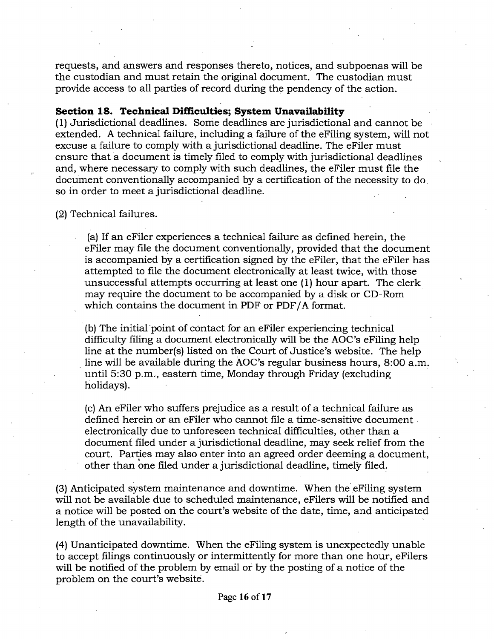requests, and answers and responses thereto, notices, and subpoenas will be the custodian and must retain the original document. The custodian must provide access to all parties of record during the pendency of the action.

# **Section 18. Technical Difficulties; System Unavailability**

(1) Jurisdictional deadlines. Some deadlines are jurisdictional and cannot be extended. A technical failure, including a failure of the eFiling system, will not excuse a failure to comply with a jurisdictional deadline. The eFiler must ensure that a document is timely filed to comply with jurisdictional deadlines and, where necessary to comply with such deadlines, the eFiler must file the document conventionally accompanied by a certification of the necessity to do. so in order to meet a jurisdictional deadline.

(2) Technical failures.

(a) If an eFiler experiences a technical failure as defined herein, the eFiler may file the document conventionally, provided that the document is accompanied by a certification signed by the eFiler, that the eFiler has attempted to file the document electronically at least twice, with those unsuccessful attempts occurring at least one (1) hour apart. The clerk may require the document to be accompanied by a disk or CD-Rom which contains the document in PDF or PDF/A format.

· (b) The initial point of contact for an eFiler experiencing technical difficulty filing a document electronically will be the AOC's eFiling help line at the number(s) listed on the Court of Justice's website. The help . line will be available during the AOC's regular business hours, 8:00 a.m. until 5:30 p.m., eastern time, Monday through Friday (excluding holidays).

(c) An eFiler who suffers prejudice as a result of a technical failure as defined herein or an eFiler who cannot file a time-sensitive document . electronically due to unforeseen technical difficulties, other than a document filed under a jurisdictional deadline, may seek relief from the court. Parties may also enter into an agreed order deeming a document, other than one filed under a jurisdictional deadline, timely filed.

(3) Anticipated system maintenance and downtime. When the eFiling system will not be available due to scheduled maintenance, eFilers will be notified and a notice will be posted on the court's website of the date, time, and anticipated length of the unavailability.

(4) Unanticipated downtime. When the eFiling system is unexpectedly unable to accept filings continuously or intermittently for more than one hour, eFilers will be notified of the problem by email or by the posting of a notice of the problem on the court's website.